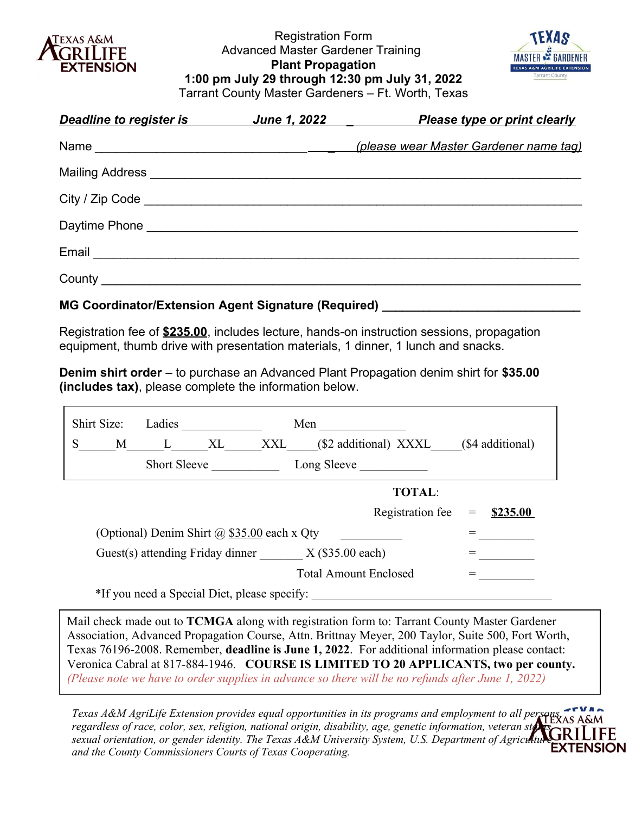

Registration Form Advanced Master Gardener Training **Plant Propagation 1:00 pm July 29 through 12:30 pm July 31, 2022** Tarrant County Master Gardeners – Ft. Worth, Texas



| Deadline to register is <b>Deadline</b> | <b>Please type or print clearly</b>    |
|-----------------------------------------|----------------------------------------|
|                                         | (please wear Master Gardener name tag) |
|                                         |                                        |
|                                         |                                        |
|                                         |                                        |
|                                         |                                        |
|                                         |                                        |

### **MG Coordinator/Extension Agent Signature (Required)**

Registration fee of **\$235.00**, includes lecture, hands-on instruction sessions, propagation equipment, thumb drive with presentation materials, 1 dinner, 1 lunch and snacks.

**Denim shirt order** – to purchase an Advanced Plant Propagation denim shirt for **\$35.00 (includes tax)**, please complete the information below.

|                                                                          | Shirt Size:                                         | Ladies              |    |     | Men                          |                       |     |                  |
|--------------------------------------------------------------------------|-----------------------------------------------------|---------------------|----|-----|------------------------------|-----------------------|-----|------------------|
| S                                                                        | M                                                   | L                   | XL | XXL |                              | (\$2 additional) XXXL |     | (\$4 additional) |
|                                                                          |                                                     | <b>Short Sleeve</b> |    |     | Long Sleeve                  |                       |     |                  |
|                                                                          | <b>TOTAL:</b>                                       |                     |    |     |                              |                       |     |                  |
|                                                                          |                                                     |                     |    |     |                              | Registration fee      | $=$ | \$235.00         |
|                                                                          | (Optional) Denim Shirt $\omega$ \$35.00 each x Qty  |                     |    |     |                              |                       |     |                  |
|                                                                          | Guest(s) attending Friday dinner $X$ (\$35.00 each) |                     |    |     |                              |                       |     |                  |
|                                                                          |                                                     |                     |    |     | <b>Total Amount Enclosed</b> |                       |     |                  |
| $*T_{i}$ , $\ldots$ $1 \cdot 0 \cdot \ldots \cdot 1$ $N_{i}$ $i$ $i$ $j$ |                                                     |                     |    |     |                              |                       |     |                  |

\*If you need a Special Diet, please specify:

Mail check made out to **TCMGA** along with registration form to: Tarrant County Master Gardener Association, Advanced Propagation Course, Attn. Brittnay Meyer, 200 Taylor, Suite 500, Fort Worth, Texas 76196-2008. Remember, **deadline is June 1, 2022**. For additional information please contact: Veronica Cabral at 817-884-1946. **COURSE IS LIMITED TO 20 APPLICANTS, two per county.** *(Please note we have to order supplies in advance so there will be no refunds after June 1, 2022)*

*Texas A&M AgriLife Extension provides equal opportunities in its programs and employment to all persons, regardless of race, color, sex, religion, national origin, disability, age, genetic information, veteran status*, *sexual orientation, or gender identity. The Texas A&M University System, U.S. Department of Agriculture EXTENSION and the County Commissioners Courts of Texas Cooperating.*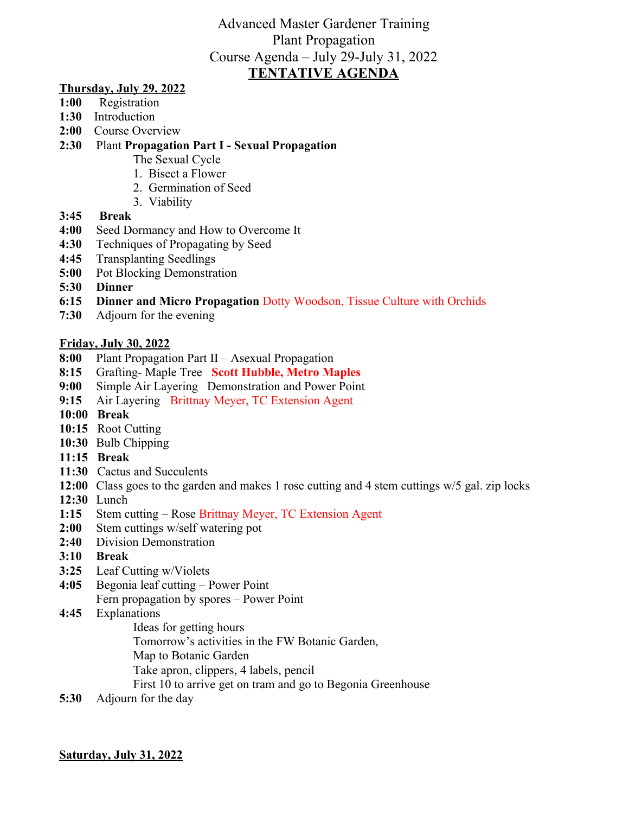### Advanced Master Gardener Training Plant Propagation Course Agenda – July 29-July 31, 2022 **TENTATIVE AGENDA**

### **Thursday, July 29, 2022**

- **1:00** Registration
- **1:30** Introduction
- **2:00** Course Overview
- **2:30** Plant **Propagation Part I Sexual Propagation**
	- The Sexual Cycle
	- 1. Bisect a Flower
	- 2. Germination of Seed
	- 3. Viability
- **3:45 Break**
- **4:00** Seed Dormancy and How to Overcome It
- **4:30** Techniques of Propagating by Seed
- **4:45** Transplanting Seedlings
- **5:00** Pot Blocking Demonstration
- **5:30 Dinner**
- **6:15 Dinner and Micro Propagation** Dotty Woodson, Tissue Culture with Orchids
- **7:30** Adjourn for the evening

### **Friday, July 30, 2022**

- **8:00** Plant Propagation Part II Asexual Propagation
- **8:15** Grafting- Maple Tree **Scott Hubble, Metro Maples**
- **9:00** Simple Air Layering Demonstration and Power Point
- **9:15** Air Layering Brittnay Meyer, TC Extension Agent
- **10:00 Break**
- **10:15** Root Cutting
- **10:30** Bulb Chipping
- **11:15 Break**
- **11:30** Cactus and Succulents
- **12:00** Class goes to the garden and makes 1 rose cutting and 4 stem cuttings w/5 gal. zip locks
- **12:30** Lunch
- **1:15** Stem cutting Rose Brittnay Meyer, TC Extension Agent
- **2:00** Stem cuttings w/self watering pot
- **2:40** Division Demonstration
- **3:10 Break**
- **3:25** Leaf Cutting w/Violets
- **4:05** Begonia leaf cutting Power Point Fern propagation by spores – Power Point
- **4:45** Explanations
	- Ideas for getting hours
	- Tomorrow's activities in the FW Botanic Garden,
	- Map to Botanic Garden
	- Take apron, clippers, 4 labels, pencil
	- First 10 to arrive get on tram and go to Begonia Greenhouse
- **5:30** Adjourn for the day

### **Saturday, July 31, 2022**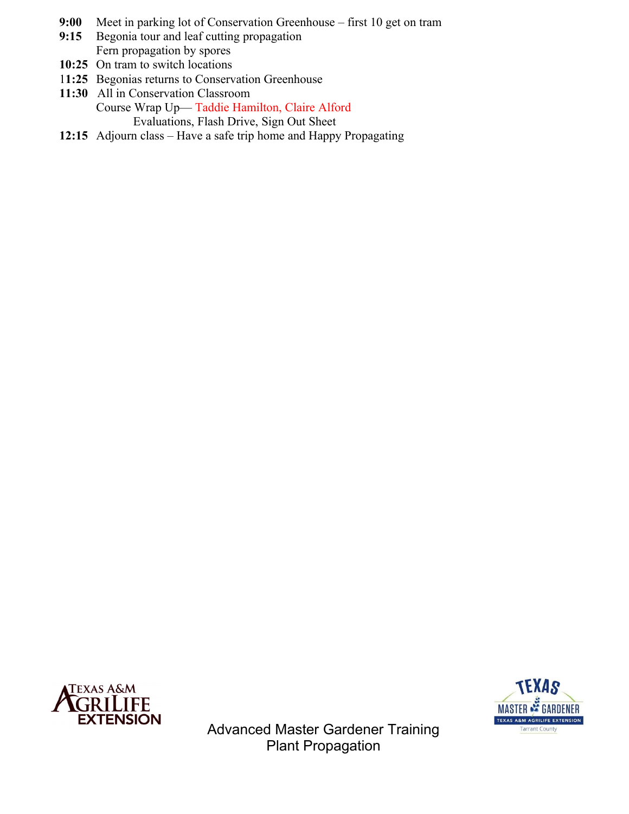- **9:00** Meet in parking lot of Conservation Greenhouse first 10 get on tram
- **9:15** Begonia tour and leaf cutting propagation Fern propagation by spores
- **10:25** On tram to switch locations
- 1**1:25** Begonias returns to Conservation Greenhouse
- **11:30** All in Conservation Classroom Course Wrap Up— Taddie Hamilton, Claire Alford Evaluations, Flash Drive, Sign Out Sheet
- **12:15** Adjourn class Have a safe trip home and Happy Propagating





Advanced Master Gardener Training Plant Propagation